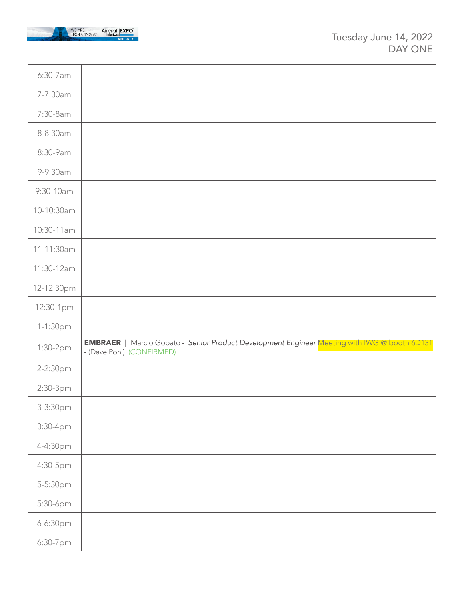

| 6:30-7 am  |                                                                                                                                  |
|------------|----------------------------------------------------------------------------------------------------------------------------------|
| 7-7:30am   |                                                                                                                                  |
| 7:30-8am   |                                                                                                                                  |
| 8-8:30am   |                                                                                                                                  |
| 8:30-9am   |                                                                                                                                  |
| 9-9:30am   |                                                                                                                                  |
| 9:30-10am  |                                                                                                                                  |
| 10-10:30am |                                                                                                                                  |
| 10:30-11am |                                                                                                                                  |
| 11-11:30am |                                                                                                                                  |
| 11:30-12am |                                                                                                                                  |
| 12-12:30pm |                                                                                                                                  |
|            |                                                                                                                                  |
| 12:30-1pm  |                                                                                                                                  |
| 1-1:30pm   |                                                                                                                                  |
| 1:30-2pm   | <b>EMBRAER</b>   Marcio Gobato - Senior Product Development Engineer Meeting with IWG @ booth 6D131<br>- (Dave Pohl) (CONFIRMED) |
| 2-2:30pm   |                                                                                                                                  |
| 2:30-3pm   |                                                                                                                                  |
| 3-3:30pm   |                                                                                                                                  |
| 3:30-4pm   |                                                                                                                                  |
| 4-4:30pm   |                                                                                                                                  |
| 4:30-5pm   |                                                                                                                                  |
| 5-5:30pm   |                                                                                                                                  |
| 5:30-6pm   |                                                                                                                                  |
| 6-6:30pm   |                                                                                                                                  |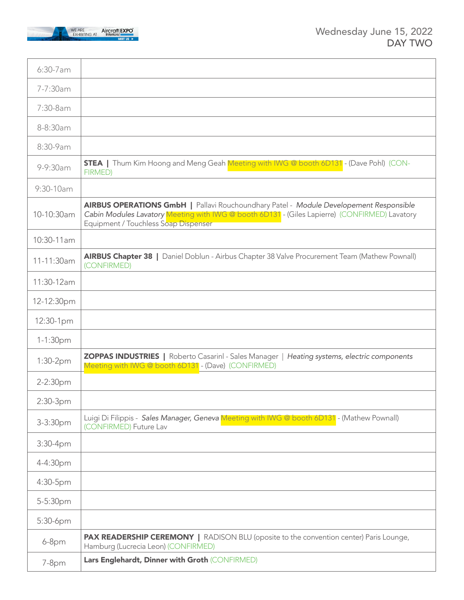

| 6:30-7 am  |                                                                                                                                                                                                                                 |
|------------|---------------------------------------------------------------------------------------------------------------------------------------------------------------------------------------------------------------------------------|
| 7-7:30am   |                                                                                                                                                                                                                                 |
| 7:30-8am   |                                                                                                                                                                                                                                 |
| 8-8:30am   |                                                                                                                                                                                                                                 |
| 8:30-9am   |                                                                                                                                                                                                                                 |
| 9-9:30am   | <b>STEA</b>   Thum Kim Hoong and Meng Geah Meeting with IWG @ booth 6D131 - (Dave Pohl) (CON-<br>FIRMED)                                                                                                                        |
| 9:30-10am  |                                                                                                                                                                                                                                 |
| 10-10:30am | AIRBUS OPERATIONS GmbH   Pallavi Rouchoundhary Patel - Module Developement Responsible<br>Cabin Modules Lavatory Meeting with IWG @ booth 6D131 - (Giles Lapierre) (CONFIRMED) Lavatory<br>Equipment / Touchless Soap Dispenser |
| 10:30-11am |                                                                                                                                                                                                                                 |
| 11-11:30am | AIRBUS Chapter 38   Daniel Doblun - Airbus Chapter 38 Valve Procurement Team (Mathew Pownall)<br>(CONFIRMED)                                                                                                                    |
| 11:30-12am |                                                                                                                                                                                                                                 |
| 12-12:30pm |                                                                                                                                                                                                                                 |
| 12:30-1pm  |                                                                                                                                                                                                                                 |
| 1-1:30pm   |                                                                                                                                                                                                                                 |
| $1:30-2pm$ | <b>ZOPPAS INDUSTRIES</b>   Roberto Casarinl - Sales Manager   Heating systems, electric components<br>Meeting with IWG @ booth 6D131 - (Dave) (CONFIRMED)                                                                       |
| 2-2:30pm   |                                                                                                                                                                                                                                 |
| 2:30-3pm   |                                                                                                                                                                                                                                 |
| 3-3:30pm   | Luigi Di Filippis - Sales Manager, Geneva Meeting with IWG @ booth 6D131 - (Mathew Pownall)<br>(CONFIRMED) Future Lav                                                                                                           |
| 3:30-4pm   |                                                                                                                                                                                                                                 |
| 4-4:30pm   |                                                                                                                                                                                                                                 |
| 4:30-5pm   |                                                                                                                                                                                                                                 |
| 5-5:30pm   |                                                                                                                                                                                                                                 |
| 5:30-6pm   |                                                                                                                                                                                                                                 |
| $6-8pm$    | PAX READERSHIP CEREMONY   RADISON BLU (oposite to the convention center) Paris Lounge,<br>Hamburg (Lucrecia Leon) (CONFIRMED)                                                                                                   |
| 7-8pm      | Lars Englehardt, Dinner with Groth (CONFIRMED)                                                                                                                                                                                  |